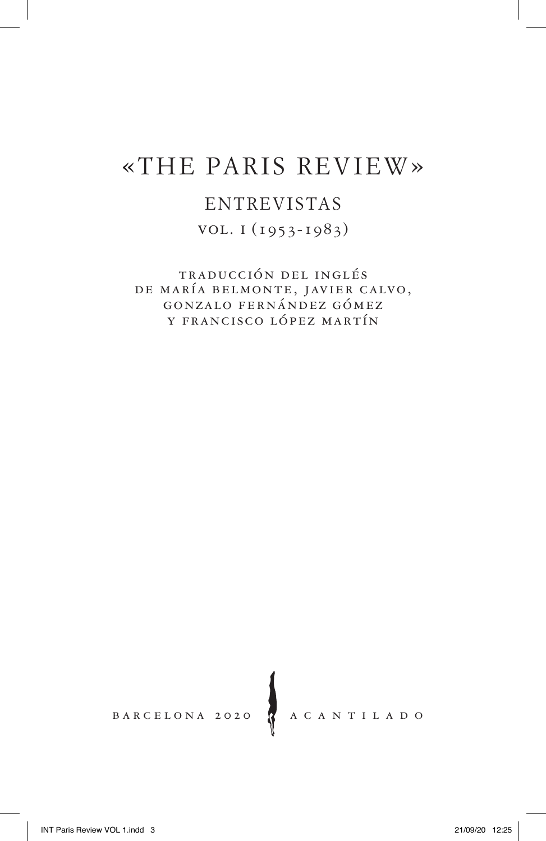# «THE PARIS REVIEW»

### ENTREVISTAS

vol. i (1953-1983)

traducción del inglés de maría belmonte, javier calvo, gonzalo fernández gómez y francisco lópez martín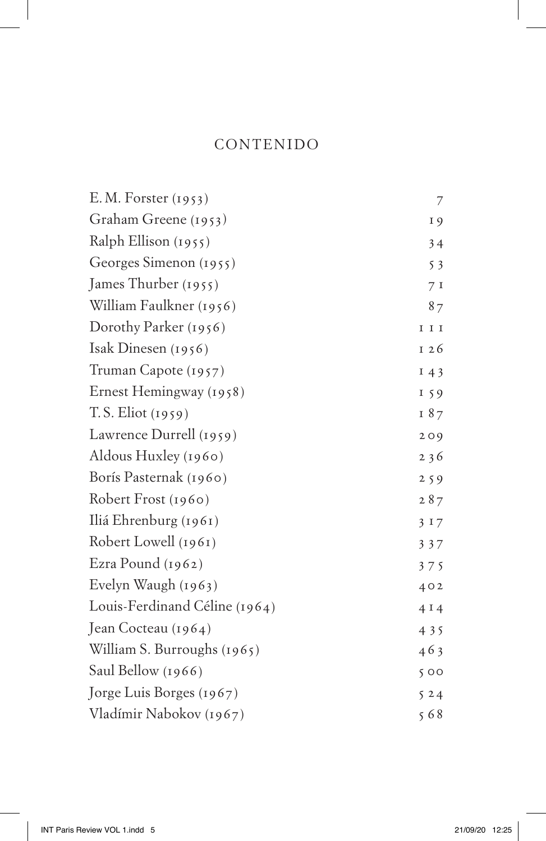#### CONTENIDO

| E. M. Forster (1953)          | $\overline{\phantom{a}}$ |
|-------------------------------|--------------------------|
| Graham Greene (1953)          | 19                       |
| Ralph Ellison (1955)          | 34                       |
| Georges Simenon (1955)        | 53                       |
| James Thurber (1955)          | 7 <sub>1</sub>           |
| William Faulkner (1956)       | 87                       |
| Dorothy Parker (1956)         | $\;$ I $\;$ I            |
| Isak Dinesen $(1956)$         | 126                      |
| Truman Capote (1957)          | 143                      |
| Ernest Hemingway (1958)       | 159                      |
| $T.S.$ Eliot $(1959)$         | 187                      |
| Lawrence Durrell (1959)       | 209                      |
| Aldous Huxley (1960)          | 236                      |
| Borís Pasternak (1960)        | 259                      |
| Robert Frost (1960)           | 287                      |
| Iliá Ehrenburg (1961)         | 3 1 7                    |
| Robert Lowell (1961)          | 337                      |
| Ezra Pound (1962)             | 375                      |
| Evelyn Waugh (1963)           | 402                      |
| Louis-Ferdinand Céline (1964) | 4I4                      |
| Jean Cocteau (1964)           | 435                      |
| William S. Burroughs (1965)   | 463                      |
| Saul Bellow (1966)            | 500                      |
| Jorge Luis Borges (1967)      | 524                      |
| Vladímir Nabokov (1967)       | 568                      |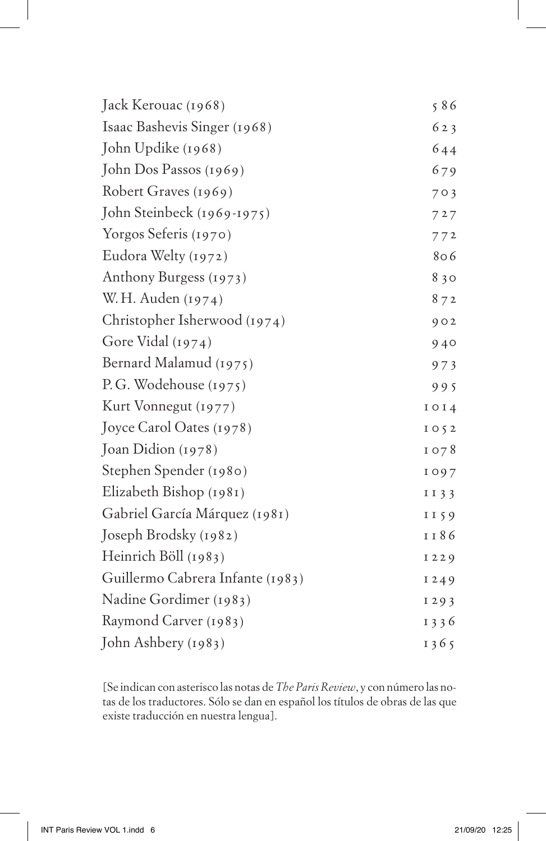| Jack Kerouac (1968)              | 586         |
|----------------------------------|-------------|
| Isaac Bashevis Singer (1968)     | 623         |
| John Updike (1968)               | 644         |
| John Dos Passos (1969)           | 679         |
| Robert Graves (1969)             | 703         |
| John Steinbeck (1969-1975)       | 727         |
| Yorgos Seferis (1970)            | 772         |
| Eudora Welty (1972)              | 806         |
| Anthony Burgess (1973)           | 830         |
| W. H. Auden (1974)               | 872         |
| Christopher Isherwood (1974)     | 902         |
| Gore Vidal (1974)                | 940         |
| Bernard Malamud (1975)           | 973         |
| P.G. Wodehouse (1975)            | 995         |
| Kurt Vonnegut (1977)             | 1014        |
| Joyce Carol Oates (1978)         | $I$ O $5$ 2 |
| Joan Didion (1978)               | 1078        |
| Stephen Spender (1980)           | 1097        |
| Elizabeth Bishop (1981)          | I I 3 3     |
| Gabriel García Márquez (1981)    | II59        |
| Joseph Brodsky (1982)            | 1 1 8 6     |
| Heinrich Böll (1983)             | 1229        |
| Guillermo Cabrera Infante (1983) | 1249        |
| Nadine Gordimer (1983)           | 1293        |
| Raymond Carver (1983)            | 1336        |
| John Ashbery (1983)              | 1365        |

[Se indican con asterisco las notas de *The Paris Review*, y con número las notas de los traductores. Sólo se dan en español los títulos de obras de las que existe traducción en nuestra lengua].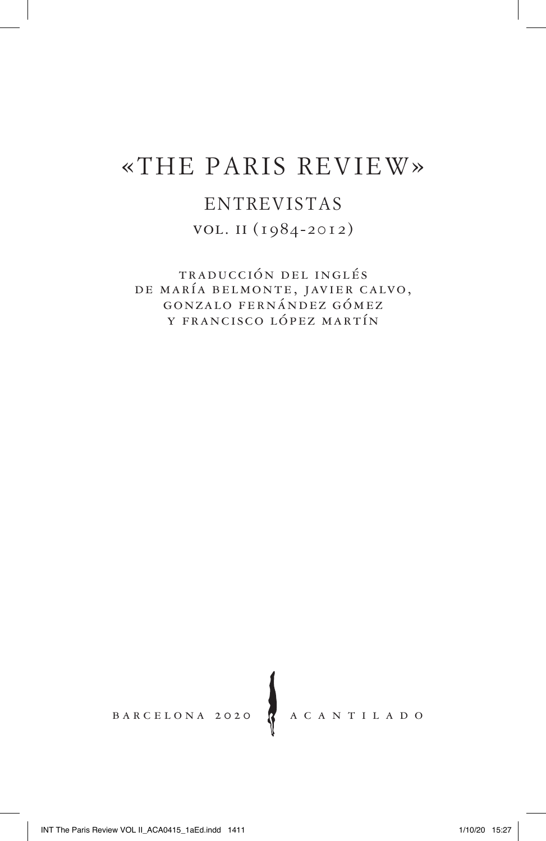# «THE PARIS REVIEW»

### ENTREVISTAS

vol. ii (1984-2012)

traducción del inglés de maría belmonte, javier calvo, gonzalo fernández gómez y francisco lópez martín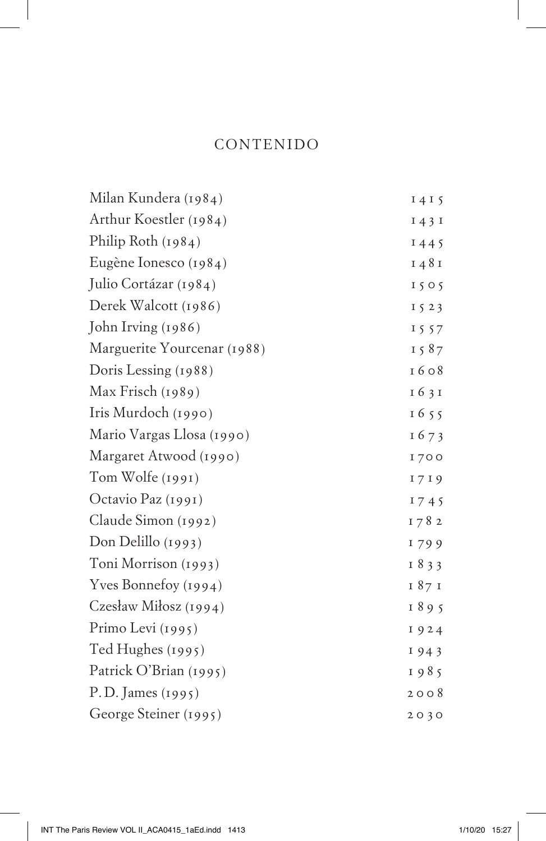#### CONTENIDO

| Milan Kundera (1984)        | 1415         |
|-----------------------------|--------------|
| Arthur Koestler (1984)      | $I$ 4 3 $I$  |
| Philip Roth (1984)          | 1445         |
| Eugène Ionesco (1984)       | 1481         |
| Julio Cortázar (1984)       | 1505         |
| Derek Walcott (1986)        | $I\,5\,2\,3$ |
| John Irving (1986)          | 1557         |
| Marguerite Yourcenar (1988) | 1587         |
| Doris Lessing (1988)        | 1608         |
| Max Frisch (1989)           | 1631         |
| Iris Murdoch (1990)         | 1655         |
| Mario Vargas Llosa (1990)   | 1673         |
| Margaret Atwood (1990)      | <b>1700</b>  |
| Tom Wolfe (1991)            | 1719         |
| Octavio Paz (1991)          | 1745         |
| Claude Simon (1992)         | 1782         |
| Don Delillo (1993)          | 1799         |
| Toni Morrison (1993)        | 1833         |
| Yves Bonnefoy (1994)        | 187 I        |
| Czesław Miłosz (1994)       | 1895         |
| Primo Levi (1995)           | 1924         |
| Ted Hughes (1995)           | 1943         |
| Patrick O'Brian (1995)      | 1985         |
| P.D. James (1995)           | 2008         |
| George Steiner (1995)       | 2030         |